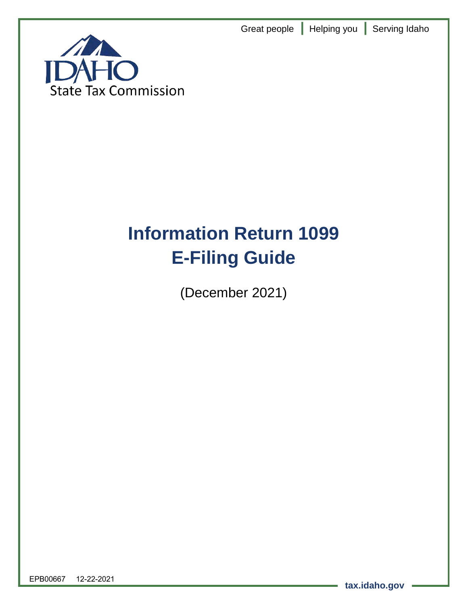Great people **|** Helping you **|** Serving Idaho



# **Information Return 1099 E-Filing Guide**

(December 2021)

EPB00667 12-22-2021

**tax.idaho.gov**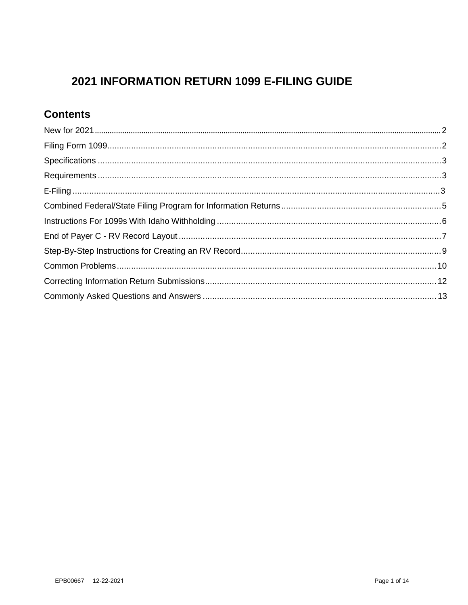# 2021 INFORMATION RETURN 1099 E-FILING GUIDE

## **Contents**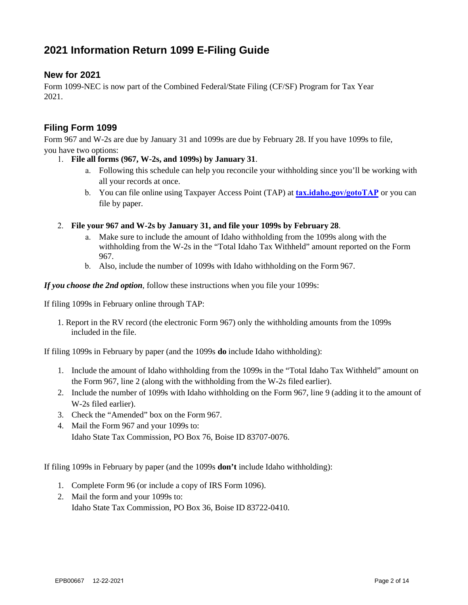## **2021 Information Return 1099 E-Filing Guide**

#### <span id="page-2-0"></span>**New for 2021**

Form 1099-NEC is now part of the Combined Federal/State Filing (CF/SF) Program for Tax Year 2021.

#### <span id="page-2-1"></span>**Filing Form 1099**

Form 967 and W-2s are due by January 31 and 1099s are due by February 28. If you have 1099s to file, you have two options:

- 1. **File all forms (967, W-2s, and 1099s) by January 31**.
	- a. Following this schedule can help you reconcile your withholding since you'll be working with all your records at once.
	- b. You can file online using Taxpayer Access Point (TAP) at **[tax.idaho.gov/gotoTAP](http://www.tax.idaho.gov/gotoTAP)** or you can file by paper.
- 2. **File your 967 and W-2s by January 31, and file your 1099s by February 28**.
	- a. Make sure to include the amount of Idaho withholding from the 1099s along with the withholding from the W-2s in the "Total Idaho Tax Withheld" amount reported on the Form 967.
	- b. Also, include the number of 1099s with Idaho withholding on the Form 967.

*If you choose the 2nd option*, follow these instructions when you file your 1099s:

If filing 1099s in February online through TAP:

1. Report in the RV record (the electronic Form 967) only the withholding amounts from the 1099s included in the file.

If filing 1099s in February by paper (and the 1099s **do** include Idaho withholding):

- 1. Include the amount of Idaho withholding from the 1099s in the "Total Idaho Tax Withheld" amount on the Form 967, line 2 (along with the withholding from the W-2s filed earlier).
- 2. Include the number of 1099s with Idaho withholding on the Form 967, line 9 (adding it to the amount of W-2s filed earlier).
- 3. Check the "Amended" box on the Form 967.
- 4. Mail the Form 967 and your 1099s to: Idaho State Tax Commission, PO Box 76, Boise ID 83707-0076.

If filing 1099s in February by paper (and the 1099s **don't** include Idaho withholding):

- 1. Complete Form 96 (or include a copy of IRS Form 1096).
- 2. Mail the form and your 1099s to: Idaho State Tax Commission, PO Box 36, Boise ID 83722-0410.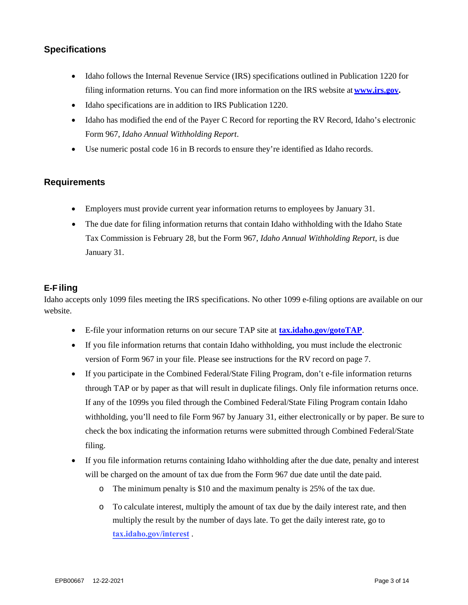#### <span id="page-3-0"></span>**Specifications**

- Idaho follows the Internal Revenue Service (IRS) specifications outlined in Publication 1220 for filing information returns. You can find more information on the IRS website at **[www.irs.gov.](http://www.irs.gov/)**
- Idaho specifications are in addition to IRS Publication 1220.
- Idaho has modified the end of the Payer C Record for reporting the RV Record, Idaho's electronic Form 967, *Idaho Annual Withholding Report*.
- Use numeric postal code 16 in B records to ensure they're identified as Idaho records.

#### <span id="page-3-1"></span>**Requirements**

- Employers must provide current year information returns to employees by January 31.
- The due date for filing information returns that contain Idaho withholding with the Idaho State Tax Commission is February 28, but the Form 967, *Idaho Annual Withholding Report*, is due January 31.

#### <span id="page-3-2"></span>**E-F iling**

Idaho accepts only 1099 files meeting the IRS specifications. No other 1099 e-filing options are available on our website.

- E-file your information returns on our secure TAP site at **[tax.idaho.gov/gotoTAP](http://www.tax.idaho.gov/gotoTAP)**.
- If you file information returns that contain Idaho withholding, you must include the electronic version of Form 967 in your file. Please see instructions for the RV record on page 7.
- If you participate in the Combined Federal/State Filing Program, don't e-file information returns through TAP or by paper as that will result in duplicate filings. Only file information returns once. If any of the 1099s you filed through the Combined Federal/State Filing Program contain Idaho withholding, you'll need to file Form 967 by January 31, either electronically or by paper. Be sure to check the box indicating the information returns were submitted through Combined Federal/State filing.
- If you file information returns containing Idaho withholding after the due date, penalty and interest will be charged on the amount of tax due from the Form 967 due date until the date paid.
	- o The minimum penalty is \$10 and the maximum penalty is 25% of the tax due.
	- o To calculate interest, multiply the amount of tax due by the daily interest rate, and then multiply the result by the number of days late. To get the daily interest rate, go to **[tax.idaho.gov/interest](https://tax.idaho.gov/i-1040.cfm)** .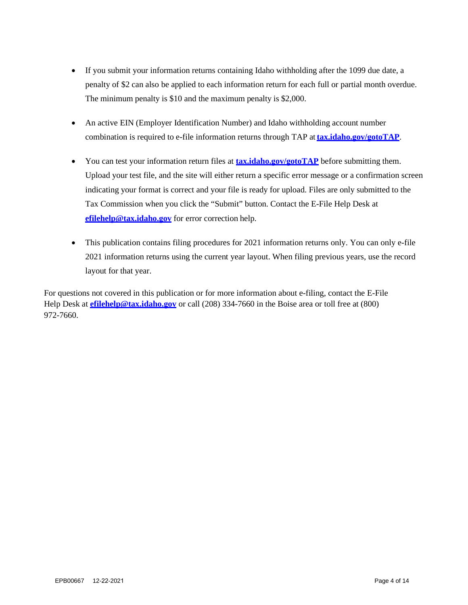- If you submit your information returns containing Idaho withholding after the 1099 due date, a penalty of \$2 can also be applied to each information return for each full or [partial month overd](https://idahotap.gentax.com/TAP/_/)ue. The minimum penalty is \$10 and the maximum penalty is \$2,000.
- An active EIN (Employer Identification Number) and Idaho withholding account number combination is [required](https://tax.idaho.gov/i-1040.cfm) to e-file information returns through TAP at**tax.idaho.gov/gotoTAP**.
- [You can test your informat](mailto:efilehelp@tax.idaho.gov)ion return files at **tax.idaho.gov/gotoTAP** before submitting them. Upload your test file, and the site will either return a specific error message or a confirmation screen indicating your format is correct and your file is ready for upload. Files are only submitted to the Tax Commission when you click the "Submit" button. Contact the E-File Help Desk at **efilehelp@tax.idaho.gov** for error correction help.
- This publication contains filing procedures for 2021 information returns only. You can only e-file 2021 information returns using the current year layout. When filing previous years, use the record layout for that year.

For questions not covered in this publication or for more information about e-filing, contact the E-File Help Desk at **[efilehelp@tax.idaho.gov](mailto:efilehelp@tax.idaho.gov)** or call (208) 334-7660 in the Boise area or toll free at (800) 972-7660.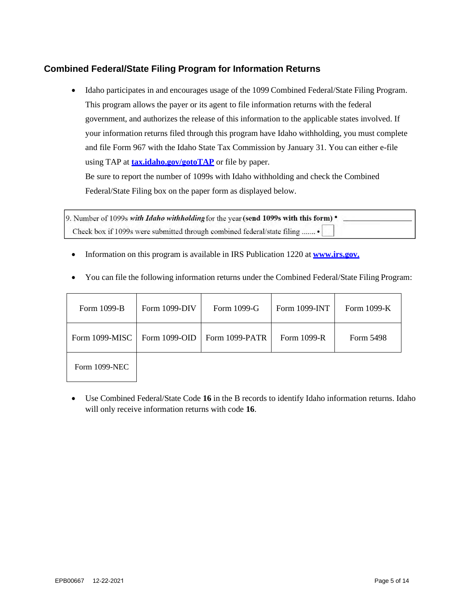#### <span id="page-5-0"></span>**Combined Federal/State Filing Program for Information Returns**

• Idaho participates in and encourages usage of the 1099 Combined Federal/State Filing Program. This program allows the payer or its agent to file information returns with the federal government, and authorizes the release of this information to the applicable states involved. If your information returns filed through this program have Idaho withholding, you must complete and file Form 967 with the Idaho State Tax Commission by January 31. You can either e-file using TAP at **[tax.idaho.gov/gotoTAP](https://idahotap.gentax.com/TAP/_/)** or file by paper.

Be sure to report the number of 1099s with Idaho withholding and check the Combined Federal/State Filing box on the paper form as displayed below.

9. Number of 1099s with Idaho withholding for the year (send 1099s with this form) . Check box if 1099s were submitted through combined federal/state filing ........

• Information on this program is available in IRS Publication 1220 at **[www.irs.gov.](http://www.irs.gov/)** 

| Form 1099-B    | Form 1099-DIV | Form 1099-G    | Form 1099-INT | Form $1099-K$ |
|----------------|---------------|----------------|---------------|---------------|
| Form 1099-MISC | Form 1099-OID | Form 1099-PATR | Form 1099-R   | Form 5498     |
| Form 1099-NEC  |               |                |               |               |

• You can file the following information returns under the Combined Federal/State Filing Program:

• Use Combined Federal/State Code **16** in the B records to identify Idaho information returns. Idaho will only receive information returns with code **16**.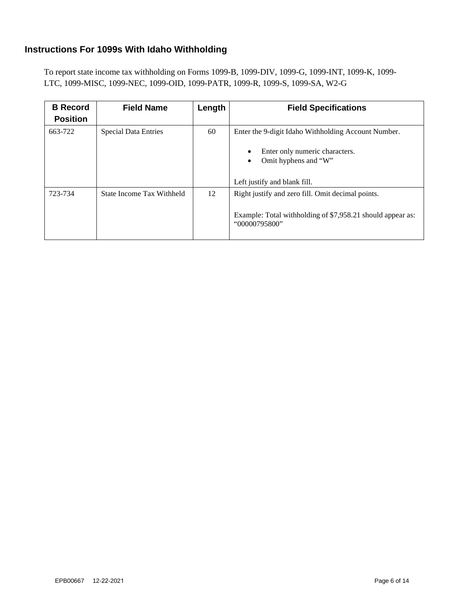#### <span id="page-6-0"></span>**Instructions For 1099s With Idaho Withholding**

To report state income tax withholding on Forms 1099-B, 1099-DIV, 1099-G, 1099-INT, 1099-K, 1099- LTC, 1099-MISC, 1099-NEC, 1099-OID, 1099-PATR, 1099-R, 1099-S, 1099-SA, W2-G

| <b>B</b> Record<br><b>Position</b> | <b>Field Name</b>           | Length | <b>Field Specifications</b>                                                                                                             |
|------------------------------------|-----------------------------|--------|-----------------------------------------------------------------------------------------------------------------------------------------|
| 663-722                            | <b>Special Data Entries</b> | 60     | Enter the 9-digit Idaho Withholding Account Number.<br>Enter only numeric characters.<br>$\bullet$<br>Omit hyphens and "W"<br>$\bullet$ |
|                                    |                             |        | Left justify and blank fill.                                                                                                            |
| 723-734                            | State Income Tax Withheld   | 12     | Right justify and zero fill. Omit decimal points.<br>Example: Total withholding of \$7,958.21 should appear as:<br>"00000795800"        |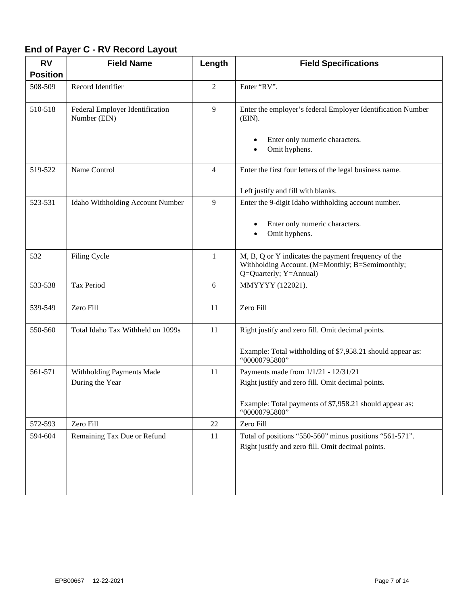## <span id="page-7-0"></span>**End of Payer C - RV Record Layout**

| <b>RV</b>       | <b>Field Name</b>                               | Length         | <b>Field Specifications</b>                                                                                                      |
|-----------------|-------------------------------------------------|----------------|----------------------------------------------------------------------------------------------------------------------------------|
| <b>Position</b> |                                                 |                |                                                                                                                                  |
| 508-509         | Record Identifier                               | 2              | Enter "RV".                                                                                                                      |
| 510-518         | Federal Employer Identification<br>Number (EIN) | 9              | Enter the employer's federal Employer Identification Number<br>$(EIN)$ .                                                         |
|                 |                                                 |                | Enter only numeric characters.<br>Omit hyphens.<br>$\bullet$                                                                     |
| 519-522         | Name Control                                    | $\overline{4}$ | Enter the first four letters of the legal business name.                                                                         |
|                 |                                                 |                | Left justify and fill with blanks.                                                                                               |
| 523-531         | Idaho Withholding Account Number                | 9              | Enter the 9-digit Idaho withholding account number.<br>Enter only numeric characters.<br>Omit hyphens.                           |
| 532             | Filing Cycle                                    | $\mathbf{1}$   | M, B, Q or Y indicates the payment frequency of the<br>Withholding Account. (M=Monthly; B=Semimonthly;<br>Q=Quarterly; Y=Annual) |
| 533-538         | Tax Period                                      | 6              | MMYYYY (122021).                                                                                                                 |
| 539-549         | Zero Fill                                       | 11             | Zero Fill                                                                                                                        |
| 550-560         | Total Idaho Tax Withheld on 1099s               | 11             | Right justify and zero fill. Omit decimal points.                                                                                |
|                 |                                                 |                | Example: Total withholding of \$7,958.21 should appear as:<br>"00000795800"                                                      |
| 561-571         | Withholding Payments Made                       | 11             | Payments made from 1/1/21 - 12/31/21                                                                                             |
|                 | During the Year                                 |                | Right justify and zero fill. Omit decimal points.                                                                                |
|                 |                                                 |                | Example: Total payments of \$7,958.21 should appear as:<br>"00000795800"                                                         |
| 572-593         | Zero Fill                                       | 22             | Zero Fill                                                                                                                        |
| 594-604         | Remaining Tax Due or Refund                     | 11             | Total of positions "550-560" minus positions "561-571".                                                                          |
|                 |                                                 |                | Right justify and zero fill. Omit decimal points.                                                                                |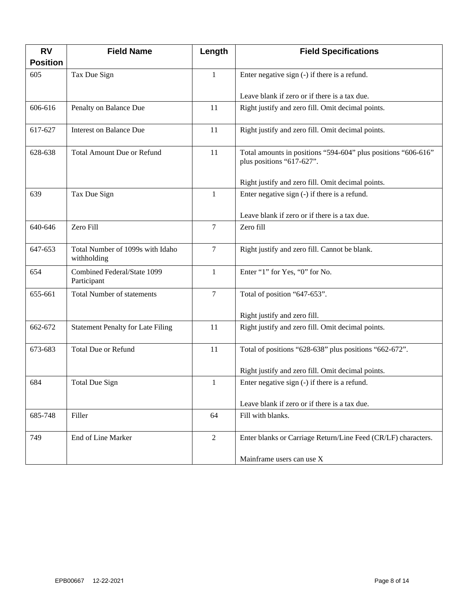| <b>RV</b>       | <b>Field Name</b>                               | Length         | <b>Field Specifications</b>                                                                |
|-----------------|-------------------------------------------------|----------------|--------------------------------------------------------------------------------------------|
| <b>Position</b> |                                                 |                |                                                                                            |
| 605             | Tax Due Sign                                    | $\mathbf{1}$   | Enter negative sign (-) if there is a refund.                                              |
|                 |                                                 |                | Leave blank if zero or if there is a tax due.                                              |
| 606-616         | Penalty on Balance Due                          | 11             | Right justify and zero fill. Omit decimal points.                                          |
| 617-627         | <b>Interest on Balance Due</b>                  | 11             | Right justify and zero fill. Omit decimal points.                                          |
| 628-638         | <b>Total Amount Due or Refund</b>               | 11             | Total amounts in positions "594-604" plus positions "606-616"<br>plus positions "617-627". |
|                 |                                                 |                | Right justify and zero fill. Omit decimal points.                                          |
| 639             | Tax Due Sign                                    | $\mathbf{1}$   | Enter negative sign (-) if there is a refund.                                              |
|                 |                                                 |                | Leave blank if zero or if there is a tax due.                                              |
| 640-646         | Zero Fill                                       | 7              | Zero fill                                                                                  |
| 647-653         | Total Number of 1099s with Idaho<br>withholding | $\tau$         | Right justify and zero fill. Cannot be blank.                                              |
| 654             | Combined Federal/State 1099<br>Participant      | $\mathbf{1}$   | Enter "1" for Yes, "0" for No.                                                             |
| 655-661         | <b>Total Number of statements</b>               | $\overline{7}$ | Total of position "647-653".                                                               |
|                 |                                                 |                | Right justify and zero fill.                                                               |
| 662-672         | <b>Statement Penalty for Late Filing</b>        | 11             | Right justify and zero fill. Omit decimal points.                                          |
| 673-683         | <b>Total Due or Refund</b>                      | 11             | Total of positions "628-638" plus positions "662-672".                                     |
|                 |                                                 |                | Right justify and zero fill. Omit decimal points.                                          |
| 684             | <b>Total Due Sign</b>                           | 1              | Enter negative sign (-) if there is a refund.                                              |
|                 |                                                 |                | Leave blank if zero or if there is a tax due.                                              |
| 685-748         | Filler                                          | 64             | Fill with blanks.                                                                          |
| 749             | End of Line Marker                              | $\overline{2}$ | Enter blanks or Carriage Return/Line Feed (CR/LF) characters.                              |
|                 |                                                 |                | Mainframe users can use X                                                                  |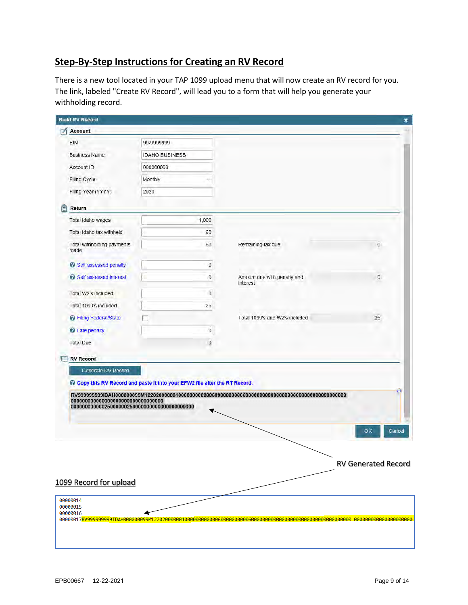### <span id="page-9-0"></span>**Step-By-Step Instructions for Creating an RV Record**

There is a new tool located in your TAP 1099 upload menu that will now create an RV record for you. The link, labeled "Create RV Record", will lead you to a form that will help you generate your withholding record.

| <b>Build RV Record</b>             |                                                                             |                                         |                            |
|------------------------------------|-----------------------------------------------------------------------------|-----------------------------------------|----------------------------|
| Account<br>✍                       |                                                                             |                                         |                            |
| EIN                                | 99-9999999                                                                  |                                         |                            |
| <b>Business Name</b>               | <b>IDAHO BUSINESS</b>                                                       |                                         |                            |
| Account ID                         | 000000099                                                                   |                                         |                            |
| Filing Cycle                       | Monthly<br>Ŵ                                                                |                                         |                            |
| Filing Year (YYYY)                 | 2020                                                                        |                                         |                            |
| Return                             |                                                                             |                                         |                            |
| Total Idaho wages                  | 1,000                                                                       |                                         |                            |
| Total Idaho tax withheld           | 60                                                                          |                                         |                            |
| Total withholding payments<br>made | 60                                                                          | Remaining tax due                       | 0                          |
| <b>C</b> Self assessed penalty     | $\mathbf 0$                                                                 |                                         |                            |
| <b>C</b> Self assessed interest    | $\mathbf{0}$                                                                | Amount due with penalty and<br>interest | 0                          |
| Total W2's included                | $\boldsymbol{0}$                                                            |                                         |                            |
| Total 1099's included              | 25                                                                          |                                         |                            |
| <b>C</b> Filing Federal/State      |                                                                             | Total 1099's and W2's included          | 25                         |
| C Late penalty                     | $\mathbf 0$                                                                 |                                         |                            |
| Total Due                          | $\mathbf{0}$                                                                |                                         |                            |
|                                    |                                                                             |                                         |                            |
| <b>RV Record</b>                   |                                                                             |                                         |                            |
| Generate RV Record                 | C Copy this RV Record and paste it into your EFW2 file after the RT Record. |                                         |                            |
|                                    |                                                                             |                                         | 画<br>OK<br>Cancel          |
| 1099 Record for upload             |                                                                             |                                         | <b>RV Generated Record</b> |
| 00000014<br>00000015               |                                                                             |                                         |                            |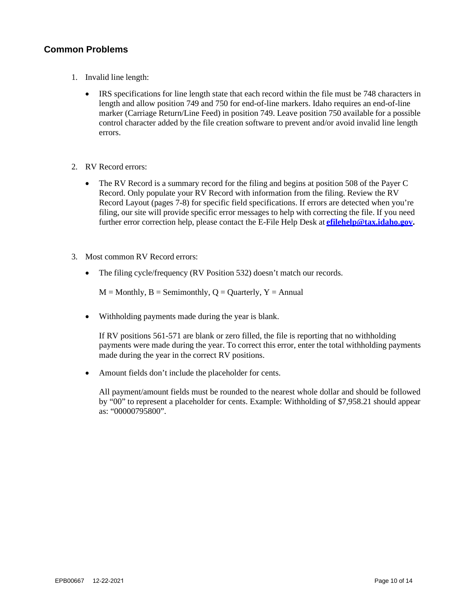#### <span id="page-10-0"></span>**Common Problems**

- 1. Invalid line length:
	- IRS specifications for line length state that each record within the file must be 748 characters in length and allow position 749 and 750 for end-of-line markers. Idaho requires an end-of-line marker (Carriage Return/Line Feed) in position 749. Leave position 750 available for a possible control character added by the file creation software to prevent and/or avoid invalid line length errors.
- 2. RV Record errors:
	- The RV Record is a summary record for the filing and begins at position 508 of the Payer C Record. Only populate your RV Record with information from the filing. Review the RV Record Layout (pages 7-8) for specific field specifications. If errors are detected when you're filing, our site will provide specific error messages to help with correcting the file. If you need further error correction help, please contact the E-File Help Desk at **[efilehelp@tax.idaho.gov.](mailto:efilehelp@tax.idaho.gov)**
- 3. Most common RV Record errors:
	- The filing cycle/frequency (RV Position 532) doesn't match our records.

 $M =$  Monthly,  $B =$  Semimonthly,  $Q =$  Quarterly,  $Y =$  Annual

• Withholding payments made during the year is blank.

If RV positions 561-571 are blank or zero filled, the file is reporting that no withholding payments were made during the year. To correct this error, enter the total withholding payments made during the year in the correct RV positions.

• Amount fields don't include the placeholder for cents.

All payment/amount fields must be rounded to the nearest whole dollar and should be followed by "00" to represent a placeholder for cents. Example: Withholding of \$7,958.21 should appear as: "00000795800".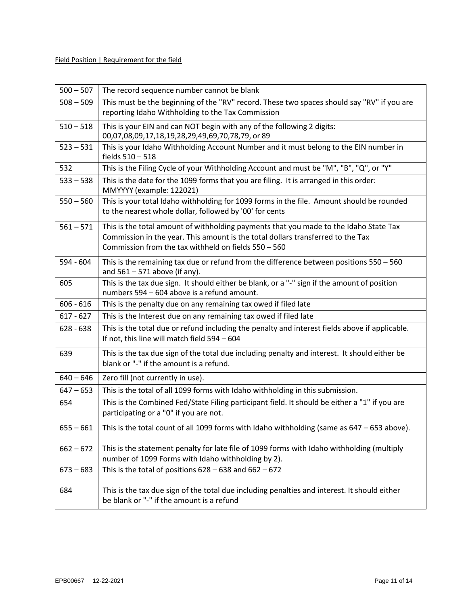| $500 - 507$ | The record sequence number cannot be blank                                                                                                                                                                                       |
|-------------|----------------------------------------------------------------------------------------------------------------------------------------------------------------------------------------------------------------------------------|
| $508 - 509$ | This must be the beginning of the "RV" record. These two spaces should say "RV" if you are<br>reporting Idaho Withholding to the Tax Commission                                                                                  |
| $510 - 518$ | This is your EIN and can NOT begin with any of the following 2 digits:<br>00,07,08,09,17,18,19,28,29,49,69,70,78,79, or 89                                                                                                       |
| $523 - 531$ | This is your Idaho Withholding Account Number and it must belong to the EIN number in<br>fields 510 - 518                                                                                                                        |
| 532         | This is the Filing Cycle of your Withholding Account and must be "M", "B", "Q", or "Y"                                                                                                                                           |
| $533 - 538$ | This is the date for the 1099 forms that you are filing. It is arranged in this order:<br>MMYYYY (example: 122021)                                                                                                               |
| $550 - 560$ | This is your total Idaho withholding for 1099 forms in the file. Amount should be rounded<br>to the nearest whole dollar, followed by '00' for cents                                                                             |
| $561 - 571$ | This is the total amount of withholding payments that you made to the Idaho State Tax<br>Commission in the year. This amount is the total dollars transferred to the Tax<br>Commission from the tax withheld on fields 550 - 560 |
| 594 - 604   | This is the remaining tax due or refund from the difference between positions 550 - 560<br>and $561 - 571$ above (if any).                                                                                                       |
| 605         | This is the tax due sign. It should either be blank, or a "-" sign if the amount of position<br>numbers 594 - 604 above is a refund amount.                                                                                      |
| $606 - 616$ | This is the penalty due on any remaining tax owed if filed late                                                                                                                                                                  |
| $617 - 627$ | This is the Interest due on any remaining tax owed if filed late                                                                                                                                                                 |
| $628 - 638$ | This is the total due or refund including the penalty and interest fields above if applicable.<br>If not, this line will match field 594 - 604                                                                                   |
| 639         | This is the tax due sign of the total due including penalty and interest. It should either be<br>blank or "-" if the amount is a refund.                                                                                         |
| $640 - 646$ | Zero fill (not currently in use).                                                                                                                                                                                                |
| $647 - 653$ | This is the total of all 1099 forms with Idaho withholding in this submission.                                                                                                                                                   |
| 654         | This is the Combined Fed/State Filing participant field. It should be either a "1" if you are<br>participating or a "0" if you are not.                                                                                          |
|             | $655 - 661$ This is the total count of all 1099 forms with Idaho withholding (same as 647 - 653 above).                                                                                                                          |
| $662 - 672$ | This is the statement penalty for late file of 1099 forms with Idaho withholding (multiply<br>number of 1099 Forms with Idaho withholding by 2).                                                                                 |
| $673 - 683$ | This is the total of positions $628 - 638$ and $662 - 672$                                                                                                                                                                       |
| 684         | This is the tax due sign of the total due including penalties and interest. It should either<br>be blank or "-" if the amount is a refund                                                                                        |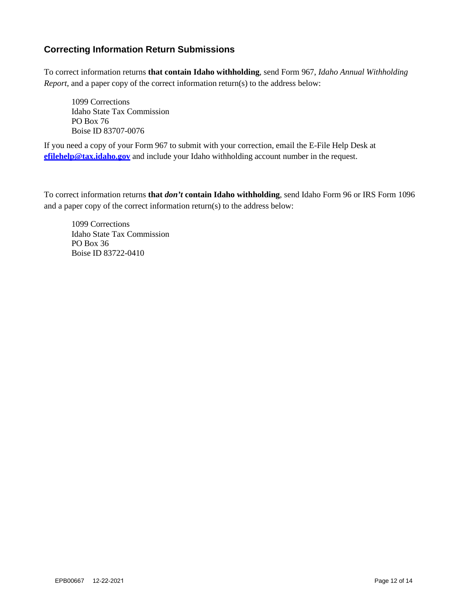#### <span id="page-12-0"></span>**Correcting Information Return Submissions**

To correct information returns **that contain Idaho withholding**, send Form 967, *Idaho Annual Withholding Report*, and a paper copy of the correct information return(s) to the address below:

1099 Corrections Idaho State Tax Commission PO Box 76 Boise ID 83707-0076

If you need a copy of your Form 967 to submit with your correction, email the E-File Help Desk at **efilehelp@tax.idaho.gov** and include your Idaho withholding account number in the request.

To correct information returns **that** *don't* **contain Idaho withholding**, send Idaho Form 96 or IRS Form 1096 and a paper copy of the correct information return(s) to the address below:

1099 Corrections Idaho State Tax Commission PO Box 36 Boise ID 83722-0410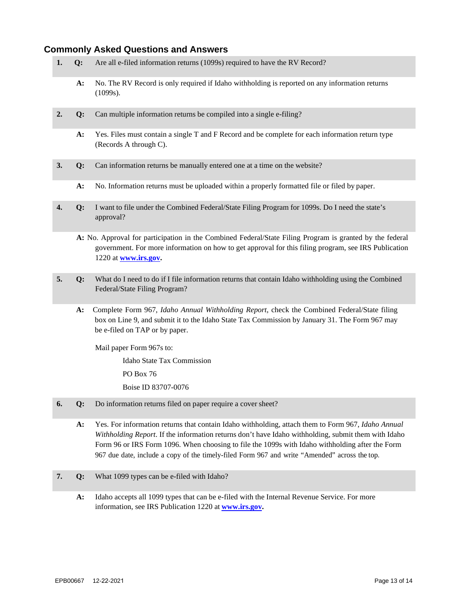#### <span id="page-13-0"></span>**Commonly Asked Questions and Answers**

- **1. Q:** Are all e-filed information returns (1099s) required to have the RV Record?
	- **A:** No. The RV Record is only required if Idaho withholding is reported on any information returns (1099s).
- **2. Q:** Can multiple information returns be compiled into a single e-filing?
	- **A:** Yes. Files must contain a single T and F Record and be complete for each information return type (Records A through C).
- **3. Q:** Can information returns be manually entered one at a time on the website?
	- **A:** No. Information returns must be uploaded within a properly formatted file or filed by paper.
- **4. Q:** I want to file under the Combined Federal/State Filing Program for 1099s. Do I need the state's approval?
	- **A:** No. Approval for participation in the Combined Federal/State Filing Program is granted by the federal government. For more information on how to get approval for this filing program, see IRS Publication 1220 at **[www.irs.gov.](http://www.irs.gov/)**
- **5. Q:** What do I need to do if I file information returns that contain Idaho withholding using the Combined Federal/State Filing Program?
	- **A:** Complete Form 967, *Idaho Annual Withholding Report*, check the Combined Federal/State filing box on Line 9, and submit it to the Idaho State Tax Commission by January 31. The Form 967 may be e-filed on TAP or by paper.

Mail paper Form 967s to:

Idaho State Tax Commission

PO Box 76

Boise ID 83707-0076

- **6. Q:** Do information returns filed on paper require a cover sheet?
	- **A:** Yes. For information returns that contain Idaho withholding, attach them to Form 967, *Idaho Annual Withholding Report*. If the information returns don't have Idaho withholding, submit them with Idaho Form 96 or IRS Form 1096. When choosing to file the 1099s with Idaho withholding after the Form 967 due date, include a copy of the timely-filed Form 967 and write "Amended" across the top.
- **7. Q:** What 1099 types can be e-filed with Idaho?
	- **A:** Idaho accepts all 1099 types that can be e-filed with the Internal Revenue Service. For more information, see IRS Publication 1220 at **[www.irs.gov.](http://www.irs.gov/)**